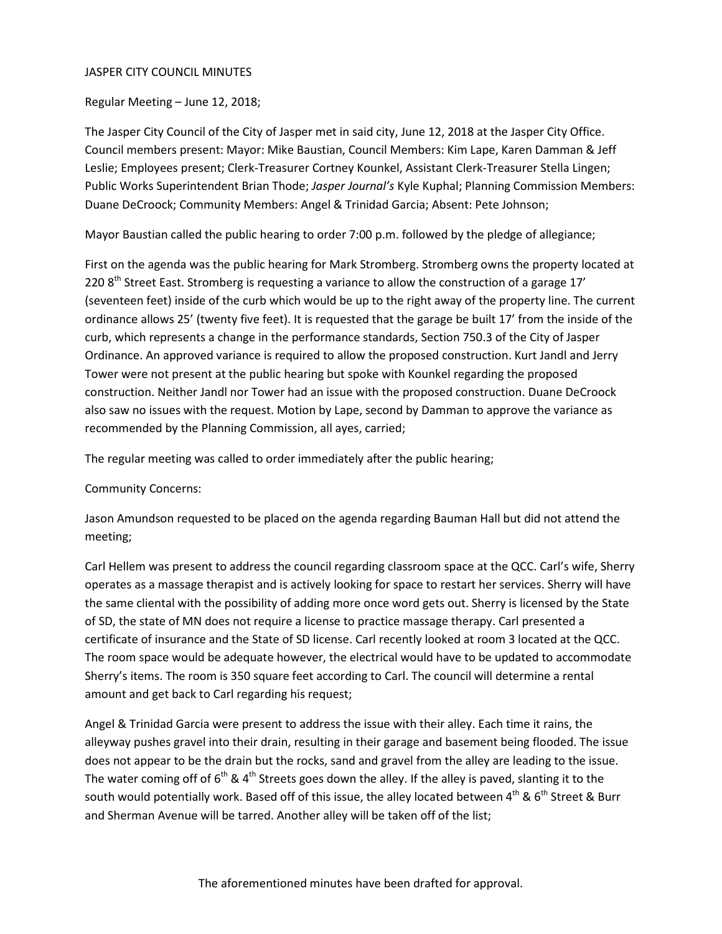#### JASPER CITY COUNCIL MINUTES

Regular Meeting – June 12, 2018;

The Jasper City Council of the City of Jasper met in said city, June 12, 2018 at the Jasper City Office. Council members present: Mayor: Mike Baustian, Council Members: Kim Lape, Karen Damman & Jeff Leslie; Employees present; Clerk-Treasurer Cortney Kounkel, Assistant Clerk-Treasurer Stella Lingen; Public Works Superintendent Brian Thode; *Jasper Journal's* Kyle Kuphal; Planning Commission Members: Duane DeCroock; Community Members: Angel & Trinidad Garcia; Absent: Pete Johnson;

Mayor Baustian called the public hearing to order 7:00 p.m. followed by the pledge of allegiance;

First on the agenda was the public hearing for Mark Stromberg. Stromberg owns the property located at 220  $8<sup>th</sup>$  Street East. Stromberg is requesting a variance to allow the construction of a garage 17' (seventeen feet) inside of the curb which would be up to the right away of the property line. The current ordinance allows 25' (twenty five feet). It is requested that the garage be built 17' from the inside of the curb, which represents a change in the performance standards, Section 750.3 of the City of Jasper Ordinance. An approved variance is required to allow the proposed construction. Kurt Jandl and Jerry Tower were not present at the public hearing but spoke with Kounkel regarding the proposed construction. Neither Jandl nor Tower had an issue with the proposed construction. Duane DeCroock also saw no issues with the request. Motion by Lape, second by Damman to approve the variance as recommended by the Planning Commission, all ayes, carried;

The regular meeting was called to order immediately after the public hearing;

#### Community Concerns:

Jason Amundson requested to be placed on the agenda regarding Bauman Hall but did not attend the meeting;

Carl Hellem was present to address the council regarding classroom space at the QCC. Carl's wife, Sherry operates as a massage therapist and is actively looking for space to restart her services. Sherry will have the same cliental with the possibility of adding more once word gets out. Sherry is licensed by the State of SD, the state of MN does not require a license to practice massage therapy. Carl presented a certificate of insurance and the State of SD license. Carl recently looked at room 3 located at the QCC. The room space would be adequate however, the electrical would have to be updated to accommodate Sherry's items. The room is 350 square feet according to Carl. The council will determine a rental amount and get back to Carl regarding his request;

Angel & Trinidad Garcia were present to address the issue with their alley. Each time it rains, the alleyway pushes gravel into their drain, resulting in their garage and basement being flooded. The issue does not appear to be the drain but the rocks, sand and gravel from the alley are leading to the issue. The water coming off of  $6<sup>th</sup>$  & 4<sup>th</sup> Streets goes down the alley. If the alley is paved, slanting it to the south would potentially work. Based off of this issue, the alley located between 4<sup>th</sup> & 6<sup>th</sup> Street & Burr and Sherman Avenue will be tarred. Another alley will be taken off of the list;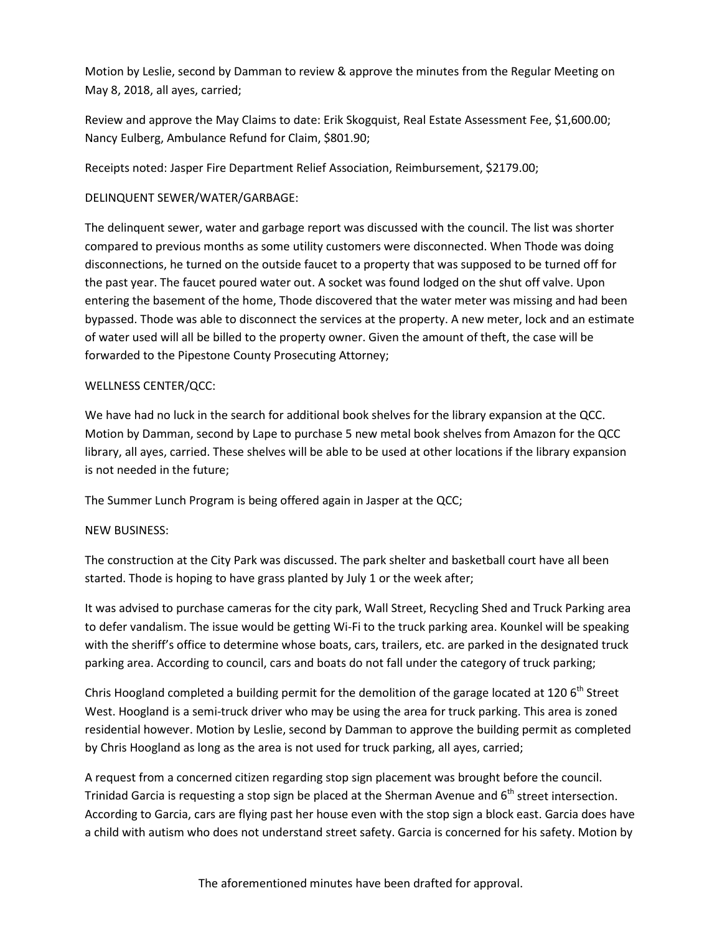Motion by Leslie, second by Damman to review & approve the minutes from the Regular Meeting on May 8, 2018, all ayes, carried;

Review and approve the May Claims to date: Erik Skogquist, Real Estate Assessment Fee, \$1,600.00; Nancy Eulberg, Ambulance Refund for Claim, \$801.90;

Receipts noted: Jasper Fire Department Relief Association, Reimbursement, \$2179.00;

### DELINQUENT SEWER/WATER/GARBAGE:

The delinquent sewer, water and garbage report was discussed with the council. The list was shorter compared to previous months as some utility customers were disconnected. When Thode was doing disconnections, he turned on the outside faucet to a property that was supposed to be turned off for the past year. The faucet poured water out. A socket was found lodged on the shut off valve. Upon entering the basement of the home, Thode discovered that the water meter was missing and had been bypassed. Thode was able to disconnect the services at the property. A new meter, lock and an estimate of water used will all be billed to the property owner. Given the amount of theft, the case will be forwarded to the Pipestone County Prosecuting Attorney;

## WELLNESS CENTER/QCC:

We have had no luck in the search for additional book shelves for the library expansion at the QCC. Motion by Damman, second by Lape to purchase 5 new metal book shelves from Amazon for the QCC library, all ayes, carried. These shelves will be able to be used at other locations if the library expansion is not needed in the future;

The Summer Lunch Program is being offered again in Jasper at the QCC;

#### NEW BUSINESS:

The construction at the City Park was discussed. The park shelter and basketball court have all been started. Thode is hoping to have grass planted by July 1 or the week after;

It was advised to purchase cameras for the city park, Wall Street, Recycling Shed and Truck Parking area to defer vandalism. The issue would be getting Wi-Fi to the truck parking area. Kounkel will be speaking with the sheriff's office to determine whose boats, cars, trailers, etc. are parked in the designated truck parking area. According to council, cars and boats do not fall under the category of truck parking;

Chris Hoogland completed a building permit for the demolition of the garage located at 120 6<sup>th</sup> Street West. Hoogland is a semi-truck driver who may be using the area for truck parking. This area is zoned residential however. Motion by Leslie, second by Damman to approve the building permit as completed by Chris Hoogland as long as the area is not used for truck parking, all ayes, carried;

A request from a concerned citizen regarding stop sign placement was brought before the council. Trinidad Garcia is requesting a stop sign be placed at the Sherman Avenue and  $6<sup>th</sup>$  street intersection. According to Garcia, cars are flying past her house even with the stop sign a block east. Garcia does have a child with autism who does not understand street safety. Garcia is concerned for his safety. Motion by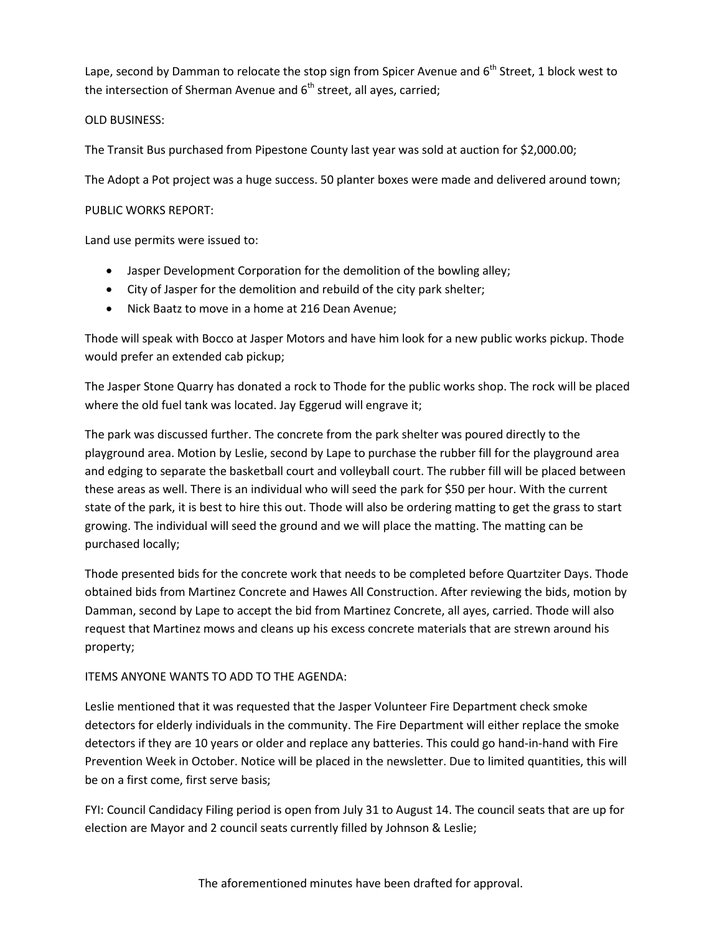Lape, second by Damman to relocate the stop sign from Spicer Avenue and 6<sup>th</sup> Street, 1 block west to the intersection of Sherman Avenue and  $6<sup>th</sup>$  street, all ayes, carried;

## OLD BUSINESS:

The Transit Bus purchased from Pipestone County last year was sold at auction for \$2,000.00;

The Adopt a Pot project was a huge success. 50 planter boxes were made and delivered around town;

### PUBLIC WORKS REPORT:

Land use permits were issued to:

- Jasper Development Corporation for the demolition of the bowling alley;
- City of Jasper for the demolition and rebuild of the city park shelter;
- Nick Baatz to move in a home at 216 Dean Avenue;

Thode will speak with Bocco at Jasper Motors and have him look for a new public works pickup. Thode would prefer an extended cab pickup;

The Jasper Stone Quarry has donated a rock to Thode for the public works shop. The rock will be placed where the old fuel tank was located. Jay Eggerud will engrave it;

The park was discussed further. The concrete from the park shelter was poured directly to the playground area. Motion by Leslie, second by Lape to purchase the rubber fill for the playground area and edging to separate the basketball court and volleyball court. The rubber fill will be placed between these areas as well. There is an individual who will seed the park for \$50 per hour. With the current state of the park, it is best to hire this out. Thode will also be ordering matting to get the grass to start growing. The individual will seed the ground and we will place the matting. The matting can be purchased locally;

Thode presented bids for the concrete work that needs to be completed before Quartziter Days. Thode obtained bids from Martinez Concrete and Hawes All Construction. After reviewing the bids, motion by Damman, second by Lape to accept the bid from Martinez Concrete, all ayes, carried. Thode will also request that Martinez mows and cleans up his excess concrete materials that are strewn around his property;

# ITEMS ANYONE WANTS TO ADD TO THE AGENDA:

Leslie mentioned that it was requested that the Jasper Volunteer Fire Department check smoke detectors for elderly individuals in the community. The Fire Department will either replace the smoke detectors if they are 10 years or older and replace any batteries. This could go hand-in-hand with Fire Prevention Week in October. Notice will be placed in the newsletter. Due to limited quantities, this will be on a first come, first serve basis;

FYI: Council Candidacy Filing period is open from July 31 to August 14. The council seats that are up for election are Mayor and 2 council seats currently filled by Johnson & Leslie;